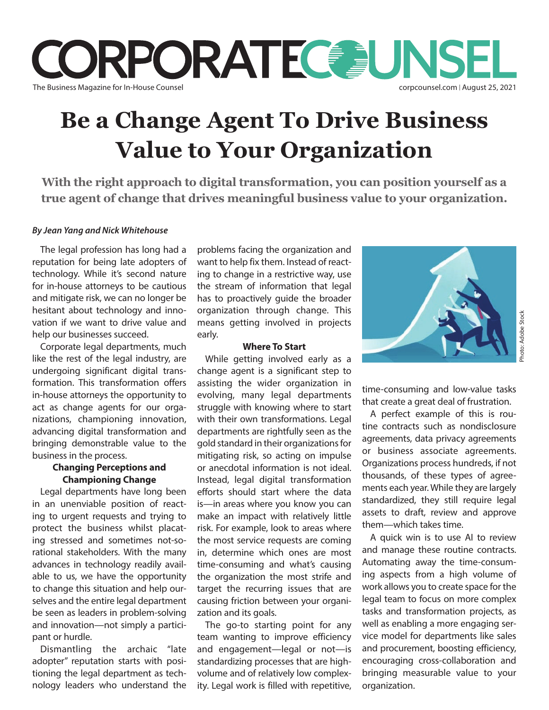

# **Be a Change Agent To Drive Business Value to Your Organization**

**With the right approach to digital transformation, you can position yourself as a true agent of change that drives meaningful business value to your organization.**

### *By Jean Yang and Nick Whitehouse*

The legal profession has long had a reputation for being late adopters of technology. While it's second nature for in-house attorneys to be cautious and mitigate risk, we can no longer be hesitant about technology and innovation if we want to drive value and help our businesses succeed.

Corporate legal departments, much like the rest of the legal industry, are undergoing significant digital transformation. This transformation offers in-house attorneys the opportunity to act as change agents for our organizations, championing innovation, advancing digital transformation and bringing demonstrable value to the business in the process.

## **Changing Perceptions and Championing Change**

Legal departments have long been in an unenviable position of reacting to urgent requests and trying to protect the business whilst placating stressed and sometimes not-sorational stakeholders. With the many advances in technology readily available to us, we have the opportunity to change this situation and help ourselves and the entire legal department be seen as leaders in problem-solving and innovation—not simply a participant or hurdle.

Dismantling the archaic "late adopter" reputation starts with positioning the legal department as technology leaders who understand the

problems facing the organization and want to help fix them. Instead of reacting to change in a restrictive way, use the stream of information that legal has to proactively guide the broader organization through change. This means getting involved in projects early.

#### **Where To Start**

While getting involved early as a change agent is a significant step to assisting the wider organization in evolving, many legal departments struggle with knowing where to start with their own transformations. Legal departments are rightfully seen as the gold standard in their organizations for mitigating risk, so acting on impulse or anecdotal information is not ideal. Instead, legal digital transformation efforts should start where the data is—in areas where you know you can make an impact with relatively little risk. For example, look to areas where the most service requests are coming in, determine which ones are most time-consuming and what's causing the organization the most strife and target the recurring issues that are causing friction between your organization and its goals.

The go-to starting point for any team wanting to improve efficiency and engagement—legal or not—is standardizing processes that are highvolume and of relatively low complexity. Legal work is filled with repetitive,



time-consuming and low-value tasks that create a great deal of frustration.

A perfect example of this is routine contracts such as nondisclosure agreements, data privacy agreements or business associate agreements. Organizations process hundreds, if not thousands, of these types of agreements each year. While they are largely standardized, they still require legal assets to draft, review and approve them—which takes time.

A quick win is to use AI to review and manage these routine contracts. Automating away the time-consuming aspects from a high volume of work allows you to create space for the legal team to focus on more complex tasks and transformation projects, as well as enabling a more engaging service model for departments like sales and procurement, boosting efficiency, encouraging cross-collaboration and bringing measurable value to your organization.